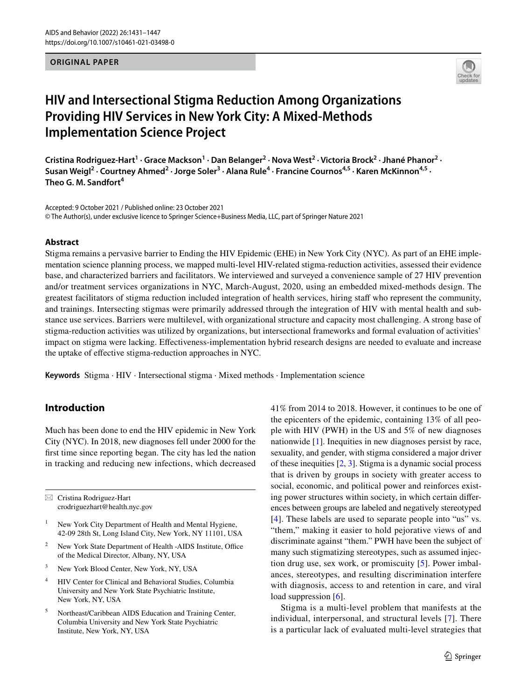# **ORIGINAL PAPER**



# **HIV and Intersectional Stigma Reduction Among Organizations Providing HIV Services in New York City: A Mixed‑Methods Implementation Science Project**

Cristina Rodriguez-Hart<sup>1</sup> · Grace Mackson<sup>1</sup> · Dan Belanger<sup>2</sup> · Nova West<sup>2</sup> · Victoria Brock<sup>2</sup> · Jhané Phanor<sup>2</sup> · Susan Weigl<sup>2</sup> • Courtney Ahmed<sup>2</sup> • Jorge Soler<sup>3</sup> • Alana Rule<sup>4</sup> • Francine Cournos<sup>4,5</sup> • Karen McKinnon<sup>4,5</sup> • **Theo G. M. Sandfort4**

Accepted: 9 October 2021 / Published online: 23 October 2021 © The Author(s), under exclusive licence to Springer Science+Business Media, LLC, part of Springer Nature 2021

### **Abstract**

Stigma remains a pervasive barrier to Ending the HIV Epidemic (EHE) in New York City (NYC). As part of an EHE implementation science planning process, we mapped multi-level HIV-related stigma-reduction activities, assessed their evidence base, and characterized barriers and facilitators. We interviewed and surveyed a convenience sample of 27 HIV prevention and/or treatment services organizations in NYC, March-August, 2020, using an embedded mixed-methods design. The greatest facilitators of stigma reduction included integration of health services, hiring staff who represent the community, and trainings. Intersecting stigmas were primarily addressed through the integration of HIV with mental health and substance use services. Barriers were multilevel, with organizational structure and capacity most challenging. A strong base of stigma-reduction activities was utilized by organizations, but intersectional frameworks and formal evaluation of activities' impact on stigma were lacking. Efectiveness-implementation hybrid research designs are needed to evaluate and increase the uptake of efective stigma-reduction approaches in NYC.

**Keywords** Stigma · HIV · Intersectional stigma · Mixed methods · Implementation science

# **Introduction**

Much has been done to end the HIV epidemic in New York City (NYC). In 2018, new diagnoses fell under 2000 for the frst time since reporting began. The city has led the nation in tracking and reducing new infections, which decreased

 $\boxtimes$  Cristina Rodriguez-Hart crodriguezhart@health.nyc.gov

- <sup>1</sup> New York City Department of Health and Mental Hygiene, 42-09 28th St, Long Island City, New York, NY 11101, USA
- New York State Department of Health -AIDS Institute, Office of the Medical Director, Albany, NY, USA
- <sup>3</sup> New York Blood Center, New York, NY, USA
- <sup>4</sup> HIV Center for Clinical and Behavioral Studies, Columbia University and New York State Psychiatric Institute, New York, NY, USA
- <sup>5</sup> Northeast/Caribbean AIDS Education and Training Center, Columbia University and New York State Psychiatric Institute, New York, NY, USA

41% from 2014 to 2018. However, it continues to be one of the epicenters of the epidemic, containing 13% of all people with HIV (PWH) in the US and 5% of new diagnoses nationwide [[1\]](#page-15-0). Inequities in new diagnoses persist by race, sexuality, and gender, with stigma considered a major driver of these inequities  $[2, 3]$  $[2, 3]$  $[2, 3]$  $[2, 3]$ . Stigma is a dynamic social process that is driven by groups in society with greater access to social, economic, and political power and reinforces existing power structures within society, in which certain diferences between groups are labeled and negatively stereotyped [[4\]](#page-15-3). These labels are used to separate people into "us" vs. "them," making it easier to hold pejorative views of and discriminate against "them." PWH have been the subject of many such stigmatizing stereotypes, such as assumed injection drug use, sex work, or promiscuity [\[5](#page-15-4)]. Power imbalances, stereotypes, and resulting discrimination interfere with diagnosis, access to and retention in care, and viral load suppression [[6\]](#page-15-5).

Stigma is a multi-level problem that manifests at the individual, interpersonal, and structural levels [[7](#page-15-6)]. There is a particular lack of evaluated multi-level strategies that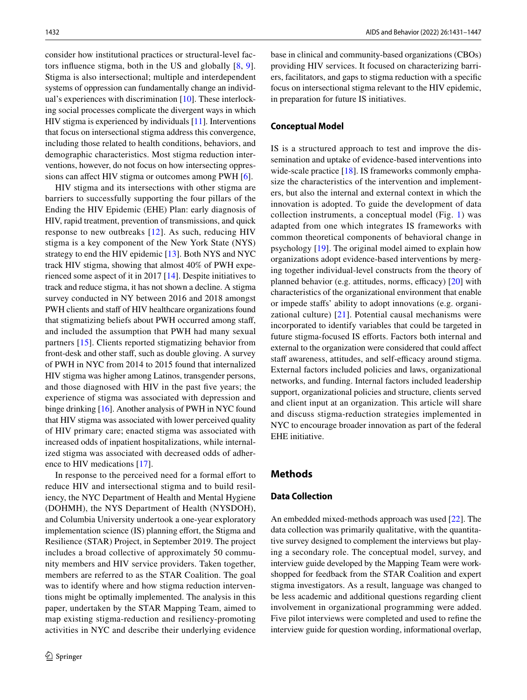consider how institutional practices or structural-level factors infuence stigma, both in the US and globally [[8](#page-15-7), [9](#page-15-8)]. Stigma is also intersectional; multiple and interdependent systems of oppression can fundamentally change an individual's experiences with discrimination [\[10](#page-15-9)]. These interlocking social processes complicate the divergent ways in which HIV stigma is experienced by individuals [\[11](#page-15-10)]. Interventions that focus on intersectional stigma address this convergence, including those related to health conditions, behaviors, and demographic characteristics. Most stigma reduction interventions, however, do not focus on how intersecting oppressions can afect HIV stigma or outcomes among PWH [\[6](#page-15-5)].

HIV stigma and its intersections with other stigma are barriers to successfully supporting the four pillars of the Ending the HIV Epidemic (EHE) Plan: early diagnosis of HIV, rapid treatment, prevention of transmissions, and quick response to new outbreaks [[12](#page-15-11)]. As such, reducing HIV stigma is a key component of the New York State (NYS) strategy to end the HIV epidemic [[13\]](#page-16-0). Both NYS and NYC track HIV stigma, showing that almost 40% of PWH experienced some aspect of it in 2017 [\[14](#page-16-1)]. Despite initiatives to track and reduce stigma, it has not shown a decline. A stigma survey conducted in NY between 2016 and 2018 amongst PWH clients and staff of HIV healthcare organizations found that stigmatizing beliefs about PWH occurred among staf, and included the assumption that PWH had many sexual partners [\[15\]](#page-16-2). Clients reported stigmatizing behavior from front-desk and other staf, such as double gloving. A survey of PWH in NYC from 2014 to 2015 found that internalized HIV stigma was higher among Latinos, transgender persons, and those diagnosed with HIV in the past fve years; the experience of stigma was associated with depression and binge drinking [[16\]](#page-16-3). Another analysis of PWH in NYC found that HIV stigma was associated with lower perceived quality of HIV primary care; enacted stigma was associated with increased odds of inpatient hospitalizations, while internalized stigma was associated with decreased odds of adherence to HIV medications [\[17](#page-16-4)].

In response to the perceived need for a formal effort to reduce HIV and intersectional stigma and to build resiliency, the NYC Department of Health and Mental Hygiene (DOHMH), the NYS Department of Health (NYSDOH), and Columbia University undertook a one-year exploratory implementation science (IS) planning effort, the Stigma and Resilience (STAR) Project, in September 2019. The project includes a broad collective of approximately 50 community members and HIV service providers. Taken together, members are referred to as the STAR Coalition. The goal was to identify where and how stigma reduction interventions might be optimally implemented. The analysis in this paper, undertaken by the STAR Mapping Team, aimed to map existing stigma-reduction and resiliency-promoting activities in NYC and describe their underlying evidence base in clinical and community-based organizations (CBOs) providing HIV services. It focused on characterizing barriers, facilitators, and gaps to stigma reduction with a specifc focus on intersectional stigma relevant to the HIV epidemic, in preparation for future IS initiatives.

### **Conceptual Model**

IS is a structured approach to test and improve the dissemination and uptake of evidence-based interventions into wide-scale practice [\[18](#page-16-5)]. IS frameworks commonly emphasize the characteristics of the intervention and implementers, but also the internal and external context in which the innovation is adopted. To guide the development of data collection instruments, a conceptual model (Fig. [1\)](#page-2-0) was adapted from one which integrates IS frameworks with common theoretical components of behavioral change in psychology [\[19](#page-16-6)]. The original model aimed to explain how organizations adopt evidence-based interventions by merging together individual-level constructs from the theory of planned behavior (e.g. attitudes, norms, efficacy)  $[20]$  $[20]$  with characteristics of the organizational environment that enable or impede stafs' ability to adopt innovations (e.g. organizational culture) [\[21\]](#page-16-8). Potential causal mechanisms were incorporated to identify variables that could be targeted in future stigma-focused IS efforts. Factors both internal and external to the organization were considered that could afect staff awareness, attitudes, and self-efficacy around stigma. External factors included policies and laws, organizational networks, and funding. Internal factors included leadership support, organizational policies and structure, clients served and client input at an organization. This article will share and discuss stigma-reduction strategies implemented in NYC to encourage broader innovation as part of the federal EHE initiative.

# **Methods**

# **Data Collection**

An embedded mixed-methods approach was used [\[22](#page-16-9)]. The data collection was primarily qualitative, with the quantitative survey designed to complement the interviews but playing a secondary role. The conceptual model, survey, and interview guide developed by the Mapping Team were workshopped for feedback from the STAR Coalition and expert stigma investigators. As a result, language was changed to be less academic and additional questions regarding client involvement in organizational programming were added. Five pilot interviews were completed and used to refne the interview guide for question wording, informational overlap,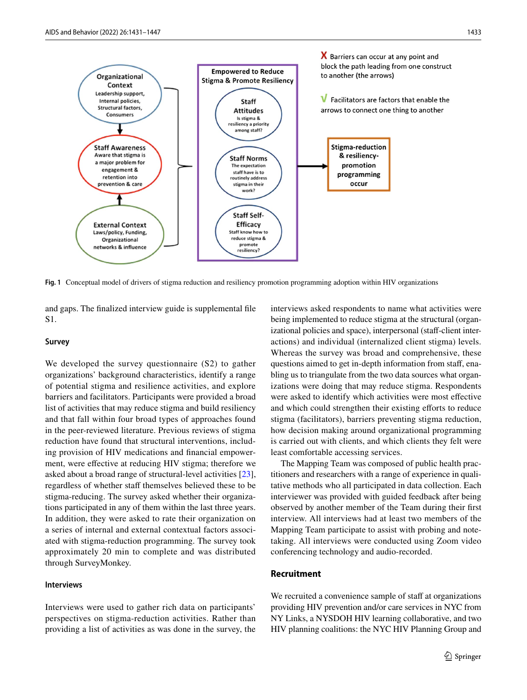

<span id="page-2-0"></span>**Fig. 1** Conceptual model of drivers of stigma reduction and resiliency promotion programming adoption within HIV organizations

and gaps. The fnalized interview guide is supplemental fle S1.

## **Survey**

We developed the survey questionnaire (S2) to gather organizations' background characteristics, identify a range of potential stigma and resilience activities, and explore barriers and facilitators. Participants were provided a broad list of activities that may reduce stigma and build resiliency and that fall within four broad types of approaches found in the peer-reviewed literature. Previous reviews of stigma reduction have found that structural interventions, including provision of HIV medications and fnancial empowerment, were efective at reducing HIV stigma; therefore we asked about a broad range of structural-level activities [\[23](#page-16-10)], regardless of whether staff themselves believed these to be stigma-reducing. The survey asked whether their organizations participated in any of them within the last three years. In addition, they were asked to rate their organization on a series of internal and external contextual factors associated with stigma-reduction programming. The survey took approximately 20 min to complete and was distributed through SurveyMonkey.

# **Interviews**

Interviews were used to gather rich data on participants' perspectives on stigma-reduction activities. Rather than providing a list of activities as was done in the survey, the interviews asked respondents to name what activities were being implemented to reduce stigma at the structural (organizational policies and space), interpersonal (staff-client interactions) and individual (internalized client stigma) levels. Whereas the survey was broad and comprehensive, these questions aimed to get in-depth information from staf, enabling us to triangulate from the two data sources what organizations were doing that may reduce stigma. Respondents were asked to identify which activities were most efective and which could strengthen their existing efforts to reduce stigma (facilitators), barriers preventing stigma reduction, how decision making around organizational programming is carried out with clients, and which clients they felt were least comfortable accessing services.

The Mapping Team was composed of public health practitioners and researchers with a range of experience in qualitative methods who all participated in data collection. Each interviewer was provided with guided feedback after being observed by another member of the Team during their frst interview. All interviews had at least two members of the Mapping Team participate to assist with probing and notetaking. All interviews were conducted using Zoom video conferencing technology and audio-recorded.

### **Recruitment**

We recruited a convenience sample of staff at organizations providing HIV prevention and/or care services in NYC from NY Links, a NYSDOH HIV learning collaborative, and two HIV planning coalitions: the NYC HIV Planning Group and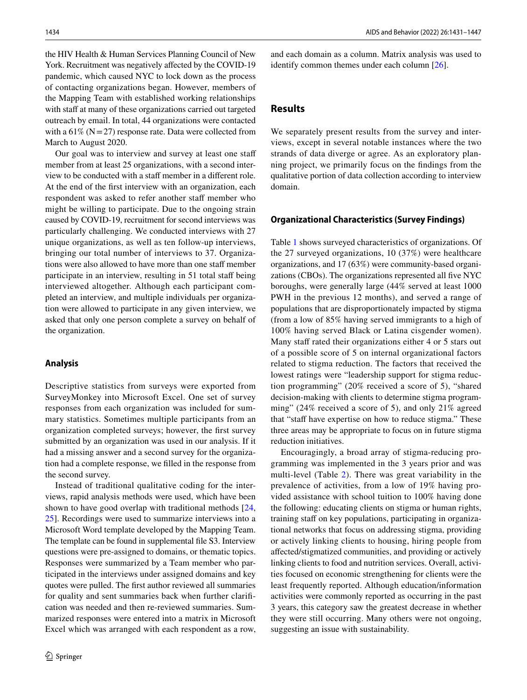the HIV Health & Human Services Planning Council of New York. Recruitment was negatively afected by the COVID-19 pandemic, which caused NYC to lock down as the process of contacting organizations began. However, members of the Mapping Team with established working relationships with staff at many of these organizations carried out targeted outreach by email. In total, 44 organizations were contacted with a  $61\%$  (N = 27) response rate. Data were collected from March to August 2020.

Our goal was to interview and survey at least one staff member from at least 25 organizations, with a second interview to be conducted with a staff member in a different role. At the end of the frst interview with an organization, each respondent was asked to refer another staff member who might be willing to participate. Due to the ongoing strain caused by COVID-19, recruitment for second interviews was particularly challenging. We conducted interviews with 27 unique organizations, as well as ten follow-up interviews, bringing our total number of interviews to 37. Organizations were also allowed to have more than one staff member participate in an interview, resulting in 51 total staff being interviewed altogether. Although each participant completed an interview, and multiple individuals per organization were allowed to participate in any given interview, we asked that only one person complete a survey on behalf of the organization.

## **Analysis**

Descriptive statistics from surveys were exported from SurveyMonkey into Microsoft Excel. One set of survey responses from each organization was included for summary statistics. Sometimes multiple participants from an organization completed surveys; however, the frst survey submitted by an organization was used in our analysis. If it had a missing answer and a second survey for the organization had a complete response, we flled in the response from the second survey.

Instead of traditional qualitative coding for the interviews, rapid analysis methods were used, which have been shown to have good overlap with traditional methods [\[24,](#page-16-11) [25](#page-16-12)]. Recordings were used to summarize interviews into a Microsoft Word template developed by the Mapping Team. The template can be found in supplemental fle S3. Interview questions were pre-assigned to domains, or thematic topics. Responses were summarized by a Team member who participated in the interviews under assigned domains and key quotes were pulled. The frst author reviewed all summaries for quality and sent summaries back when further clarifcation was needed and then re-reviewed summaries. Summarized responses were entered into a matrix in Microsoft Excel which was arranged with each respondent as a row, and each domain as a column. Matrix analysis was used to identify common themes under each column [\[26](#page-16-13)].

# **Results**

We separately present results from the survey and interviews, except in several notable instances where the two strands of data diverge or agree. As an exploratory planning project, we primarily focus on the fndings from the qualitative portion of data collection according to interview domain.

### **Organizational Characteristics (Survey Findings)**

Table [1](#page-4-0) shows surveyed characteristics of organizations. Of the 27 surveyed organizations, 10 (37%) were healthcare organizations, and 17 (63%) were community-based organizations (CBOs). The organizations represented all five NYC boroughs, were generally large (44% served at least 1000 PWH in the previous 12 months), and served a range of populations that are disproportionately impacted by stigma (from a low of 85% having served immigrants to a high of 100% having served Black or Latina cisgender women). Many staff rated their organizations either 4 or 5 stars out of a possible score of 5 on internal organizational factors related to stigma reduction. The factors that received the lowest ratings were "leadership support for stigma reduction programming" (20% received a score of 5), "shared decision-making with clients to determine stigma programming" (24% received a score of 5), and only 21% agreed that "staff have expertise on how to reduce stigma." These three areas may be appropriate to focus on in future stigma reduction initiatives.

Encouragingly, a broad array of stigma-reducing programming was implemented in the 3 years prior and was multi-level (Table [2](#page-6-0)). There was great variability in the prevalence of activities, from a low of 19% having provided assistance with school tuition to 100% having done the following: educating clients on stigma or human rights, training staff on key populations, participating in organizational networks that focus on addressing stigma, providing or actively linking clients to housing, hiring people from afected/stigmatized communities, and providing or actively linking clients to food and nutrition services. Overall, activities focused on economic strengthening for clients were the least frequently reported. Although education/information activities were commonly reported as occurring in the past 3 years, this category saw the greatest decrease in whether they were still occurring. Many others were not ongoing, suggesting an issue with sustainability.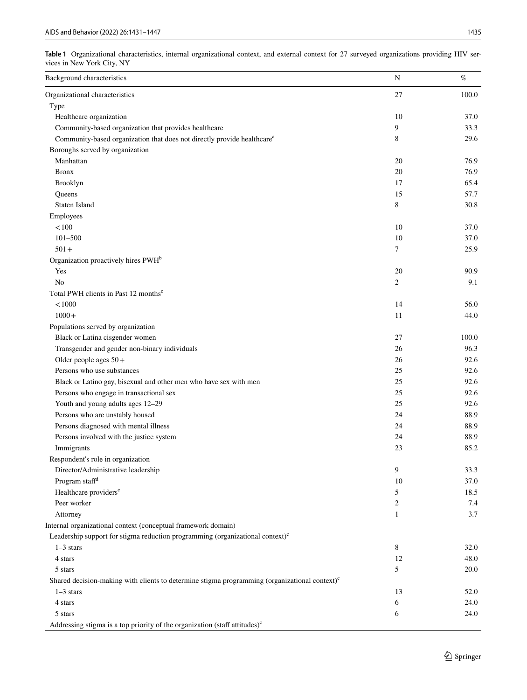<span id="page-4-0"></span>

| Table 1 Organizational characteristics, internal organizational context, and external context for 27 surveyed organizations providing HIV ser- |  |  |  |  |  |  |
|------------------------------------------------------------------------------------------------------------------------------------------------|--|--|--|--|--|--|
| vices in New York City, NY                                                                                                                     |  |  |  |  |  |  |

| Background characteristics                                                                              | $\mathbf N$    | $\%$  |
|---------------------------------------------------------------------------------------------------------|----------------|-------|
| Organizational characteristics                                                                          | 27             | 100.0 |
| Type                                                                                                    |                |       |
| Healthcare organization                                                                                 | 10             | 37.0  |
| Community-based organization that provides healthcare                                                   | 9              | 33.3  |
| Community-based organization that does not directly provide healthcare <sup>a</sup>                     | 8              | 29.6  |
| Boroughs served by organization                                                                         |                |       |
| Manhattan                                                                                               | 20             | 76.9  |
| <b>Bronx</b>                                                                                            | 20             | 76.9  |
| Brooklyn                                                                                                | 17             | 65.4  |
| Queens                                                                                                  | 15             | 57.7  |
| Staten Island                                                                                           | 8              | 30.8  |
| Employees                                                                                               |                |       |
| < 100                                                                                                   | 10             | 37.0  |
| $101 - 500$                                                                                             | 10             | 37.0  |
| $501 +$                                                                                                 | 7              | 25.9  |
| Organization proactively hires PWH <sup>b</sup>                                                         |                |       |
| Yes                                                                                                     | 20             | 90.9  |
| No                                                                                                      | $\overline{c}$ | 9.1   |
| Total PWH clients in Past 12 months <sup>c</sup>                                                        |                |       |
| < 1000                                                                                                  | 14             | 56.0  |
|                                                                                                         |                |       |
| $1000+$                                                                                                 | 11             | 44.0  |
| Populations served by organization                                                                      |                |       |
| Black or Latina cisgender women                                                                         | 27             | 100.0 |
| Transgender and gender non-binary individuals                                                           | 26             | 96.3  |
| Older people ages $50+$                                                                                 | 26             | 92.6  |
| Persons who use substances                                                                              | 25             | 92.6  |
| Black or Latino gay, bisexual and other men who have sex with men                                       | 25             | 92.6  |
| Persons who engage in transactional sex                                                                 | 25             | 92.6  |
| Youth and young adults ages 12-29                                                                       | 25             | 92.6  |
| Persons who are unstably housed                                                                         | 24             | 88.9  |
| Persons diagnosed with mental illness                                                                   | 24             | 88.9  |
| Persons involved with the justice system                                                                | 24             | 88.9  |
| Immigrants                                                                                              | 23             | 85.2  |
| Respondent's role in organization                                                                       |                |       |
| Director/Administrative leadership                                                                      | 9              | 33.3  |
| Program staff <sup>d</sup>                                                                              | 10             | 37.0  |
| Healthcare providers <sup>e</sup>                                                                       | 5              | 18.5  |
| Peer worker                                                                                             | $\overline{c}$ | 7.4   |
| Attorney                                                                                                | $\mathbf{1}$   | 3.7   |
| Internal organizational context (conceptual framework domain)                                           |                |       |
| Leadership support for stigma reduction programming (organizational context) <sup>c</sup>               |                |       |
| $1-3$ stars                                                                                             | 8              | 32.0  |
| 4 stars                                                                                                 | 12             | 48.0  |
| $5\;{\rm stars}$                                                                                        | 5              | 20.0  |
| Shared decision-making with clients to determine stigma programming (organizational context) $\text{c}$ |                |       |
| $1-3$ stars                                                                                             | 13             | 52.0  |
| 4 stars                                                                                                 | 6              | 24.0  |
| 5 stars                                                                                                 | 6              | 24.0  |
| Addressing stigma is a top priority of the organization (staff attitudes) <sup>c</sup>                  |                |       |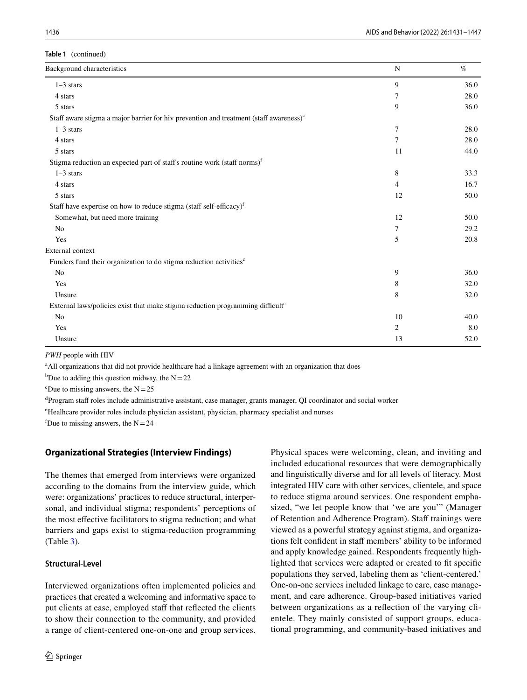| Background characteristics                                                                       | N              | %    |
|--------------------------------------------------------------------------------------------------|----------------|------|
| $1-3$ stars                                                                                      | 9              | 36.0 |
| 4 stars                                                                                          | 7              | 28.0 |
| 5 stars                                                                                          | 9              | 36.0 |
| Staff aware stigma a major barrier for hiv prevention and treatment (staff awareness) $\text{°}$ |                |      |
| $1-3$ stars                                                                                      | 7              | 28.0 |
| 4 stars                                                                                          | 7              | 28.0 |
| 5 stars                                                                                          | 11             | 44.0 |
| Stigma reduction an expected part of staff's routine work (staff norms) <sup>f</sup>             |                |      |
| $1-3$ stars                                                                                      | 8              | 33.3 |
| 4 stars                                                                                          | $\overline{4}$ | 16.7 |
| 5 stars                                                                                          | 12             | 50.0 |
| Staff have expertise on how to reduce stigma (staff self-efficacy) <sup>f</sup>                  |                |      |
| Somewhat, but need more training                                                                 | 12             | 50.0 |
| No                                                                                               | 7              | 29.2 |
| Yes                                                                                              | 5              | 20.8 |
| <b>External context</b>                                                                          |                |      |
| Funders fund their organization to do stigma reduction activities <sup>c</sup>                   |                |      |
| N <sub>0</sub>                                                                                   | 9              | 36.0 |
| Yes                                                                                              | 8              | 32.0 |
| Unsure                                                                                           | 8              | 32.0 |
| External laws/policies exist that make stigma reduction programming difficult <sup>c</sup>       |                |      |
| No                                                                                               | 10             | 40.0 |
| Yes                                                                                              | $\overline{c}$ | 8.0  |
| Unsure                                                                                           | 13             | 52.0 |

*PWH* people with HIV

<sup>a</sup> All organizations that did not provide healthcare had a linkage agreement with an organization that does

<sup>b</sup>Due to adding this question midway, the  $N=22$ 

<sup>c</sup>Due to missing answers, the  $N=25$ 

<sup>d</sup>Program staff roles include administrative assistant, case manager, grants manager, QI coordinator and social worker

e Healhcare provider roles include physician assistant, physician, pharmacy specialist and nurses

<sup>f</sup>Due to missing answers, the  $N=24$ 

# **Organizational Strategies (Interview Findings)**

The themes that emerged from interviews were organized according to the domains from the interview guide, which were: organizations' practices to reduce structural, interpersonal, and individual stigma; respondents' perceptions of the most efective facilitators to stigma reduction; and what barriers and gaps exist to stigma-reduction programming (Table [3\)](#page-9-0).

### **Structural‑Level**

Interviewed organizations often implemented policies and practices that created a welcoming and informative space to put clients at ease, employed staff that reflected the clients to show their connection to the community, and provided a range of client-centered one-on-one and group services. Physical spaces were welcoming, clean, and inviting and included educational resources that were demographically and linguistically diverse and for all levels of literacy. Most integrated HIV care with other services, clientele, and space to reduce stigma around services. One respondent emphasized, "we let people know that 'we are you'" (Manager of Retention and Adherence Program). Staff trainings were viewed as a powerful strategy against stigma, and organizations felt confident in staff members' ability to be informed and apply knowledge gained. Respondents frequently highlighted that services were adapted or created to ft specifc populations they served, labeling them as 'client-centered.' One-on-one services included linkage to care, case management, and care adherence. Group-based initiatives varied between organizations as a refection of the varying clientele. They mainly consisted of support groups, educational programming, and community-based initiatives and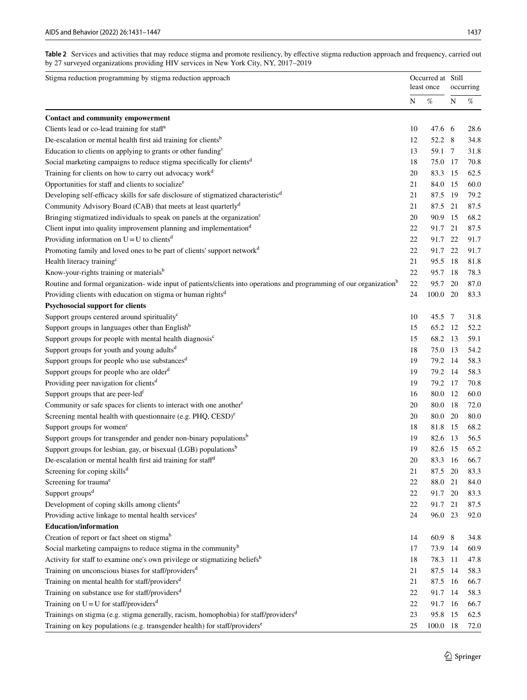<span id="page-6-0"></span>Table 2 Services and activities that may reduce stigma and promote resiliency, by effective stigma reduction approach and frequency, carried out by 27 surveyed organizations providing HIV services in New York City, NY, 2017–2019

| Occurred at Still<br>Stigma reduction programming by stigma reduction approach<br>least once                                     |           |                                                                                                                              |      | occurring |  |
|----------------------------------------------------------------------------------------------------------------------------------|-----------|------------------------------------------------------------------------------------------------------------------------------|------|-----------|--|
|                                                                                                                                  | ${\bf N}$ | $% \mathcal{P}_{\mathrm{C}}^{\mathrm{C}}(\mathcal{P}_{\mathrm{C}}^{\mathrm{C}}(\mathcal{P}_{\mathrm{C}}^{\mathrm{C}})^{-1})$ | N    | $\%$      |  |
| <b>Contact and community empowerment</b>                                                                                         |           |                                                                                                                              |      |           |  |
| Clients lead or co-lead training for staff <sup>a</sup>                                                                          | 10        | 47.6 6                                                                                                                       |      | 28.6      |  |
| De-escalation or mental health first aid training for clients <sup>b</sup>                                                       | 12        | 52.2 8                                                                                                                       |      | 34.8      |  |
| Education to clients on applying to grants or other funding <sup>c</sup>                                                         | 13        | 59.1 7                                                                                                                       |      | 31.8      |  |
| Social marketing campaigns to reduce stigma specifically for clients <sup>d</sup>                                                | 18        | 75.0 17                                                                                                                      |      | 70.8      |  |
| Training for clients on how to carry out advocacy work <sup>d</sup>                                                              | 20        | 83.3 15                                                                                                                      |      | 62.5      |  |
| Opportunities for staff and clients to socialize <sup>e</sup>                                                                    | 21        | 84.0                                                                                                                         | - 15 | 60.0      |  |
| Developing self-efficacy skills for safe disclosure of stigmatized characteristic <sup>d</sup>                                   | 21        | 87.5 19                                                                                                                      |      | 79.2      |  |
| Community Advisory Board (CAB) that meets at least quarterly <sup>d</sup>                                                        | 21        | 87.5                                                                                                                         | 21   | 87.5      |  |
| Bringing stigmatized individuals to speak on panels at the organization <sup>c</sup>                                             | 20        | 90.9                                                                                                                         | -15  | 68.2      |  |
| Client input into quality improvement planning and implementation <sup>d</sup>                                                   | 22        | 91.7                                                                                                                         | 21   | 87.5      |  |
| Providing information on $U = U$ to clients <sup>d</sup>                                                                         | 22        | 91.7                                                                                                                         | 22   | 91.7      |  |
| Promoting family and loved ones to be part of clients' support network <sup>d</sup>                                              | 22        | 91.7                                                                                                                         | 22   | 91.7      |  |
|                                                                                                                                  | 21        | 95.5                                                                                                                         | - 18 | 81.8      |  |
| Health literacy training <sup>c</sup><br>Know-your-rights training or materials <sup>b</sup>                                     |           | 95.7 18                                                                                                                      |      |           |  |
|                                                                                                                                  | 22        |                                                                                                                              |      | 78.3      |  |
| Routine and formal organization- wide input of patients/clients into operations and programming of our organization <sup>b</sup> | 22        | 95.7                                                                                                                         | 20   | 87.0      |  |
| Providing clients with education on stigma or human rights <sup>d</sup>                                                          | 24        | 100.0 20                                                                                                                     |      | 83.3      |  |
| <b>Psychosocial support for clients</b>                                                                                          |           |                                                                                                                              |      |           |  |
| Support groups centered around spirituality <sup>c</sup>                                                                         | 10        | 45.5 7                                                                                                                       |      | 31.8      |  |
| Support groups in languages other than English <sup>b</sup>                                                                      | 15        | 65.2 12                                                                                                                      |      | 52.2      |  |
| Support groups for people with mental health diagnosis <sup>c</sup>                                                              | 15        | 68.2                                                                                                                         | - 13 | 59.1      |  |
| Support groups for youth and young adults <sup>d</sup>                                                                           | 18        | 75.0                                                                                                                         | -13  | 54.2      |  |
| Support groups for people who use substances <sup>d</sup>                                                                        | 19        | 79.2 14                                                                                                                      |      | 58.3      |  |
| Support groups for people who are older <sup>d</sup>                                                                             | 19        | 79.2 14                                                                                                                      |      | 58.3      |  |
| Providing peer navigation for clients <sup>d</sup>                                                                               | 19        | 79.2 17                                                                                                                      |      | 70.8      |  |
| Support groups that are peer-led <sup>f</sup>                                                                                    | 16        | 80.0 12                                                                                                                      |      | 60.0      |  |
| Community or safe spaces for clients to interact with one another <sup>e</sup>                                                   | 20        | 80.0 18                                                                                                                      |      | 72.0      |  |
| Screening mental health with questionnaire (e.g. PHQ, CESD) <sup>e</sup>                                                         | 20        | 80.0 20                                                                                                                      |      | 80.0      |  |
| Support groups for women <sup>c</sup>                                                                                            | 18        | 81.8 15                                                                                                                      |      | 68.2      |  |
| Support groups for transgender and gender non-binary populations <sup>b</sup>                                                    | 19        | 82.6                                                                                                                         | - 13 | 56.5      |  |
| Support groups for lesbian, gay, or bisexual (LGB) populations <sup>b</sup>                                                      | 19        | 82.6                                                                                                                         | - 15 | 65.2      |  |
| De-escalation or mental health first aid training for staff <sup>d</sup>                                                         | 20        | 83.3 16                                                                                                                      |      | 66.7      |  |
| Screening for coping skills <sup>d</sup>                                                                                         | 21        | 87.5                                                                                                                         | 20   | 83.3      |  |
| Screening for trauma <sup>e</sup>                                                                                                | 22        | 88.0                                                                                                                         | 21   | 84.0      |  |
| Support groups <sup>d</sup>                                                                                                      | 22        | 91.7                                                                                                                         | 20   | 83.3      |  |
| Development of coping skills among clients <sup>d</sup>                                                                          | 22        | 91.7                                                                                                                         | 21   | 87.5      |  |
| Providing active linkage to mental health services <sup>e</sup>                                                                  | 24        | 96.0 23                                                                                                                      |      | 92.0      |  |
| <b>Education/information</b>                                                                                                     |           |                                                                                                                              |      |           |  |
| Creation of report or fact sheet on stigma <sup>b</sup>                                                                          | 14        | 60.9 8                                                                                                                       |      | 34.8      |  |
| Social marketing campaigns to reduce stigma in the community <sup>b</sup>                                                        | 17        | 73.9 14                                                                                                                      |      | 60.9      |  |
| Activity for staff to examine one's own privilege or stigmatizing beliefs <sup>b</sup>                                           | 18        | 78.3 11                                                                                                                      |      | 47.8      |  |
| Training on unconscious biases for staff/providers <sup>d</sup>                                                                  | 21        | 87.5 14                                                                                                                      |      | 58.3      |  |
| Training on mental health for staff/providers <sup>d</sup>                                                                       | 21        | 87.5 16                                                                                                                      |      | 66.7      |  |
| Training on substance use for staff/providers <sup>d</sup>                                                                       | 22        | 91.7 14                                                                                                                      |      | 58.3      |  |
| Training on $U = U$ for staff/providers <sup>d</sup>                                                                             | 22        | 91.7 16                                                                                                                      |      | 66.7      |  |
| Trainings on stigma (e.g. stigma generally, racism, homophobia) for staff/providers <sup>d</sup>                                 | 23        | 95.8 15                                                                                                                      |      | 62.5      |  |
| Training on key populations (e.g. transgender health) for staff/providers <sup>e</sup>                                           | 25        | 100.0 18                                                                                                                     |      | 72.0      |  |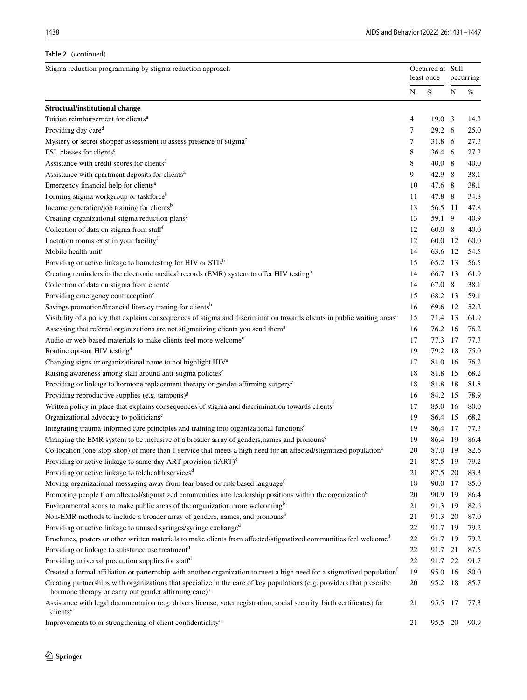# **Table 2** (continued)

| Stigma reduction programming by stigma reduction approach<br>Occurred at Still<br>least once                                                                                               |           |                              | occurring |      |  |
|--------------------------------------------------------------------------------------------------------------------------------------------------------------------------------------------|-----------|------------------------------|-----------|------|--|
|                                                                                                                                                                                            | ${\bf N}$ | $% \mathcal{P}_{\mathrm{C}}$ | N         | $\%$ |  |
| <b>Structual/institutional change</b>                                                                                                                                                      |           |                              |           |      |  |
| Tuition reimbursement for clients <sup>a</sup>                                                                                                                                             | 4         | $19.0 \quad 3$               |           | 14.3 |  |
| Providing day care <sup>d</sup>                                                                                                                                                            | 7         | 29.2 6                       |           | 25.0 |  |
| Mystery or secret shopper assessment to assess presence of stigma <sup>c</sup>                                                                                                             | 7         | 31.8 6                       |           | 27.3 |  |
| ESL classes for clients <sup>c</sup>                                                                                                                                                       | 8         | 36.4 6                       |           | 27.3 |  |
| Assistance with credit scores for clients <sup>f</sup>                                                                                                                                     | 8         | 40.08                        |           | 40.0 |  |
| Assistance with apartment deposits for clients <sup>a</sup>                                                                                                                                | 9         | 42.9 8                       |           | 38.1 |  |
| Emergency financial help for clients <sup>a</sup>                                                                                                                                          | 10        | 47.6 8                       |           | 38.1 |  |
| Forming stigma workgroup or taskforce <sup>b</sup>                                                                                                                                         | 11        | 47.8 8                       |           | 34.8 |  |
| Income generation/job training for clients <sup>b</sup>                                                                                                                                    | 13        | 56.5 11                      |           | 47.8 |  |
| Creating organizational stigma reduction plans <sup>c</sup>                                                                                                                                | 13        | 59.1 9                       |           | 40.9 |  |
| Collection of data on stigma from staff <sup>f</sup>                                                                                                                                       | 12        | 60.0 8                       |           | 40.0 |  |
| Lactation rooms exist in your facility <sup>f</sup>                                                                                                                                        | 12        | 60.0 12                      |           | 60.0 |  |
| Mobile health unitc                                                                                                                                                                        | 14        | 63.6 12                      |           | 54.5 |  |
| Providing or active linkage to hometesting for HIV or STIsb                                                                                                                                | 15        | 65.2 13                      |           | 56.5 |  |
| Creating reminders in the electronic medical records (EMR) system to offer HIV testing <sup>a</sup>                                                                                        | 14        | 66.7 13                      |           | 61.9 |  |
| Collection of data on stigma from clients <sup>a</sup>                                                                                                                                     | 14        | 67.0 8                       |           | 38.1 |  |
| Providing emergency contraception <sup>c</sup>                                                                                                                                             | 15        | 68.2 13                      |           | 59.1 |  |
| Savings promotion/financial literacy traning for clients <sup>b</sup>                                                                                                                      | 16        | 69.6 12                      |           | 52.2 |  |
| Visibility of a policy that explains consequences of stigma and discrimination towards clients in public waiting areas <sup>a</sup>                                                        | 15        | 71.4 13                      |           | 61.9 |  |
| Assessing that referral organizations are not stigmatizing clients you send them <sup>a</sup>                                                                                              | 16        | 76.2 16                      |           | 76.2 |  |
| Audio or web-based materials to make clients feel more welcome <sup>c</sup>                                                                                                                | 17        | 77.3 17                      |           | 77.3 |  |
| Routine opt-out HIV testing <sup>d</sup>                                                                                                                                                   | 19        | 79.2 18                      |           | 75.0 |  |
| Changing signs or organizational name to not highlight HIV <sup>a</sup>                                                                                                                    | 17        | 81.0 16                      |           | 76.2 |  |
| Raising awareness among staff around anti-stigma policies <sup>c</sup>                                                                                                                     | 18        | 81.8                         | 15        | 68.2 |  |
| Providing or linkage to hormone replacement therapy or gender-affirming surgery <sup>c</sup>                                                                                               | 18        | 81.8                         | -18       | 81.8 |  |
| Providing reproductive supplies (e.g. tampons) $g$                                                                                                                                         | 16        | 84.2 15                      |           | 78.9 |  |
| Written policy in place that explains consequences of stigma and discrimination towards clients <sup>f</sup>                                                                               | 17        | 85.0 16                      |           | 80.0 |  |
| Organizational advocacy to politicians <sup>c</sup>                                                                                                                                        | 19        | 86.4 15                      |           | 68.2 |  |
| Integrating trauma-informed care principles and training into organizational functions <sup>c</sup>                                                                                        | 19        | 86.4 17                      |           | 77.3 |  |
| Changing the EMR system to be inclusive of a broader array of genders, names and pronouns <sup>c</sup>                                                                                     | 19        | 86.4 19                      |           | 86.4 |  |
| Co-location (one-stop-shop) of more than 1 service that meets a high need for an affected/stigmtized population <sup>b</sup>                                                               | 20        | 87.0 19                      |           | 82.6 |  |
| Providing or active linkage to same-day ART provision (iART) <sup>d</sup>                                                                                                                  | 21        | 87.5                         | 19        | 79.2 |  |
| Providing or active linkage to telehealth services <sup>d</sup>                                                                                                                            | 21        | 87.5                         | 20        | 83.3 |  |
| Moving organizational messaging away from fear-based or risk-based language <sup>f</sup>                                                                                                   | 18        | 90.0 17                      |           | 85.0 |  |
| Promoting people from affected/stigmatized communities into leadership positions within the organization <sup>c</sup>                                                                      | 20        | 90.9 19                      |           | 86.4 |  |
| Environmental scans to make public areas of the organization more welcoming <sup>b</sup>                                                                                                   | 21        | 91.3 19                      |           | 82.6 |  |
| Non-EMR methods to include a broader array of genders, names, and pronouns <sup>b</sup>                                                                                                    | 21        | 91.3 20                      |           | 87.0 |  |
| Providing or active linkage to unused syringes/syringe exchange <sup>d</sup>                                                                                                               | 22        | 91.7 19                      |           | 79.2 |  |
| Brochures, posters or other written materials to make clients from affected/stigmatized communities feel welcome <sup>d</sup>                                                              | 22        | 91.7 19                      |           | 79.2 |  |
| Providing or linkage to substance use treatment <sup>d</sup>                                                                                                                               | 22        | 91.7 21                      |           | 87.5 |  |
| Providing universal precaution supplies for staff <sup>d</sup>                                                                                                                             | 22        | 91.7 22                      |           | 91.7 |  |
| Created a formal affiliation or parternship with another organization to meet a high need for a stigmatized population <sup>f</sup>                                                        | 19        | 95.0 16                      |           | 80.0 |  |
| Creating partnerships with organizations that specialize in the care of key populations (e.g. providers that prescribe<br>hormone therapy or carry out gender affirming care) <sup>a</sup> | 20        | 95.2 18                      |           | 85.7 |  |
| Assistance with legal documentation (e.g. drivers license, voter registration, social security, birth certificates) for<br>clients <sup>c</sup>                                            | 21        | 95.5 17                      |           | 77.3 |  |
| Improvements to or strengthening of client confidentiality <sup>c</sup>                                                                                                                    | 21        | 95.5 20                      |           | 90.9 |  |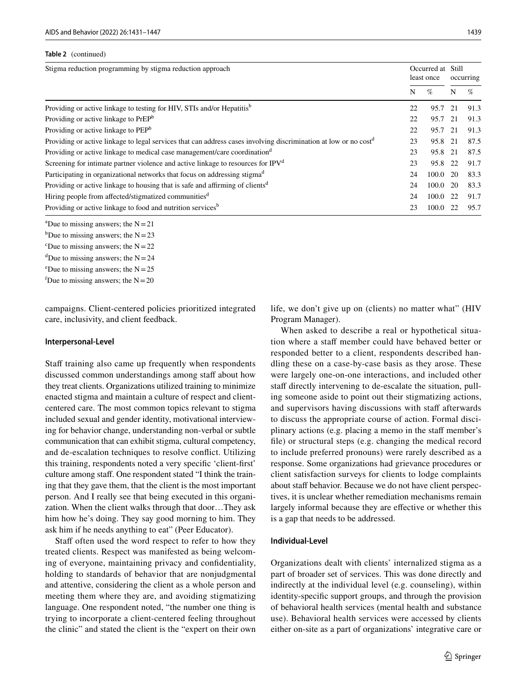| Table 2 (continued) |  |
|---------------------|--|
|---------------------|--|

| Stigma reduction programming by stigma reduction approach<br>Occurred at Still<br>least once                                 |    |         | occurring |      |
|------------------------------------------------------------------------------------------------------------------------------|----|---------|-----------|------|
|                                                                                                                              | N  | $\%$    | N         | $\%$ |
| Providing or active linkage to testing for HIV, STIs and/or Hepatitis <sup>b</sup>                                           | 22 | 95.7    | 21        | 91.3 |
| Providing or active linkage to PrEP <sup>b</sup>                                                                             | 22 | 95.7 21 |           | 91.3 |
| Providing or active linkage to PEP <sup>b</sup>                                                                              | 22 | 95.7 21 |           | 91.3 |
| Providing or active linkage to legal services that can address cases involving discrimination at low or no cost <sup>d</sup> | 23 | 95.8 21 |           | 87.5 |
| Providing or active linkage to medical case management/care coordination <sup>d</sup>                                        | 23 | 95.8 21 |           | 87.5 |
| Screening for intimate partner violence and active linkage to resources for $IPVd$                                           | 23 | 95.8 22 |           | 91.7 |
| Participating in organizational networks that focus on addressing stigma <sup>d</sup>                                        | 24 | 100.0   | -20       | 83.3 |
| Providing or active linkage to housing that is safe and affirming of clients <sup>d</sup>                                    | 24 | 100.0   | 20        | 83.3 |
| Hiring people from affected/stigmatized communities <sup>d</sup>                                                             | 24 | 100.0   | 22        | 91.7 |
| Providing or active linkage to food and nutrition services <sup>b</sup>                                                      | 23 | 100.0   | 22        | 95.7 |

<sup>a</sup>Due to missing answers; the  $N=21$ 

- <sup>b</sup>Due to missing answers; the  $N=23$
- <sup>c</sup>Due to missing answers; the  $N=22$
- <sup>d</sup>Due to missing answers; the  $N=24$
- <sup>e</sup>Due to missing answers; the  $N=25$
- <sup>f</sup>Due to missing answers; the  $N=20$

campaigns. Client-centered policies prioritized integrated care, inclusivity, and client feedback.

#### **Interpersonal‑Level**

Staff training also came up frequently when respondents discussed common understandings among staff about how they treat clients. Organizations utilized training to minimize enacted stigma and maintain a culture of respect and clientcentered care. The most common topics relevant to stigma included sexual and gender identity, motivational interviewing for behavior change, understanding non-verbal or subtle communication that can exhibit stigma, cultural competency, and de-escalation techniques to resolve confict. Utilizing this training, respondents noted a very specifc 'client-frst' culture among staf. One respondent stated "I think the training that they gave them, that the client is the most important person. And I really see that being executed in this organization. When the client walks through that door…They ask him how he's doing. They say good morning to him. They ask him if he needs anything to eat" (Peer Educator).

Staff often used the word respect to refer to how they treated clients. Respect was manifested as being welcoming of everyone, maintaining privacy and confdentiality, holding to standards of behavior that are nonjudgmental and attentive, considering the client as a whole person and meeting them where they are, and avoiding stigmatizing language. One respondent noted, "the number one thing is trying to incorporate a client-centered feeling throughout the clinic" and stated the client is the "expert on their own life, we don't give up on (clients) no matter what" (HIV Program Manager).

When asked to describe a real or hypothetical situation where a staff member could have behaved better or responded better to a client, respondents described handling these on a case-by-case basis as they arose. These were largely one-on-one interactions, and included other staff directly intervening to de-escalate the situation, pulling someone aside to point out their stigmatizing actions, and supervisors having discussions with staff afterwards to discuss the appropriate course of action. Formal disciplinary actions (e.g. placing a memo in the staff member's fle) or structural steps (e.g. changing the medical record to include preferred pronouns) were rarely described as a response. Some organizations had grievance procedures or client satisfaction surveys for clients to lodge complaints about staff behavior. Because we do not have client perspectives, it is unclear whether remediation mechanisms remain largely informal because they are efective or whether this is a gap that needs to be addressed.

#### **Individual‑Level**

Organizations dealt with clients' internalized stigma as a part of broader set of services. This was done directly and indirectly at the individual level (e.g. counseling), within identity-specifc support groups, and through the provision of behavioral health services (mental health and substance use). Behavioral health services were accessed by clients either on-site as a part of organizations' integrative care or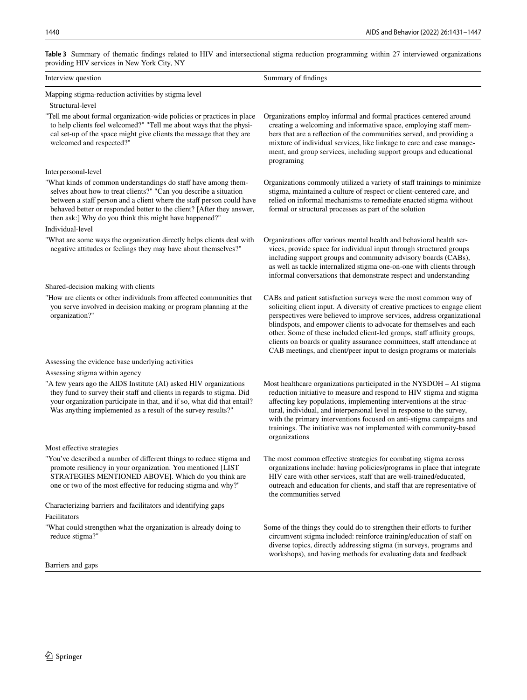| providing TH v services in frow Tork City, IVT                                                                                                                                                                                                                                                                                                  |                                                                                                                                                                                                                                                                                                                                                                                                                                                                                                                               |
|-------------------------------------------------------------------------------------------------------------------------------------------------------------------------------------------------------------------------------------------------------------------------------------------------------------------------------------------------|-------------------------------------------------------------------------------------------------------------------------------------------------------------------------------------------------------------------------------------------------------------------------------------------------------------------------------------------------------------------------------------------------------------------------------------------------------------------------------------------------------------------------------|
| Interview question                                                                                                                                                                                                                                                                                                                              | Summary of findings                                                                                                                                                                                                                                                                                                                                                                                                                                                                                                           |
| Mapping stigma-reduction activities by stigma level<br>Structural-level                                                                                                                                                                                                                                                                         |                                                                                                                                                                                                                                                                                                                                                                                                                                                                                                                               |
| "Tell me about formal organization-wide policies or practices in place<br>to help clients feel welcomed?" "Tell me about ways that the physi-<br>cal set-up of the space might give clients the message that they are<br>welcomed and respected?"                                                                                               | Organizations employ informal and formal practices centered around<br>creating a welcoming and informative space, employing staff mem-<br>bers that are a reflection of the communities served, and providing a<br>mixture of individual services, like linkage to care and case manage-<br>ment, and group services, including support groups and educational<br>programing                                                                                                                                                  |
| Interpersonal-level                                                                                                                                                                                                                                                                                                                             |                                                                                                                                                                                                                                                                                                                                                                                                                                                                                                                               |
| "What kinds of common understandings do staff have among them-<br>selves about how to treat clients?" "Can you describe a situation<br>between a staff person and a client where the staff person could have<br>behaved better or responded better to the client? [After they answer,<br>then ask:] Why do you think this might have happened?" | Organizations commonly utilized a variety of staff trainings to minimize<br>stigma, maintained a culture of respect or client-centered care, and<br>relied on informal mechanisms to remediate enacted stigma without<br>formal or structural processes as part of the solution                                                                                                                                                                                                                                               |
| Individual-level                                                                                                                                                                                                                                                                                                                                |                                                                                                                                                                                                                                                                                                                                                                                                                                                                                                                               |
| "What are some ways the organization directly helps clients deal with<br>negative attitudes or feelings they may have about themselves?"                                                                                                                                                                                                        | Organizations offer various mental health and behavioral health ser-<br>vices, provide space for individual input through structured groups<br>including support groups and community advisory boards (CABs),<br>as well as tackle internalized stigma one-on-one with clients through<br>informal conversations that demonstrate respect and understanding                                                                                                                                                                   |
| Shared-decision making with clients                                                                                                                                                                                                                                                                                                             |                                                                                                                                                                                                                                                                                                                                                                                                                                                                                                                               |
| "How are clients or other individuals from affected communities that<br>you serve involved in decision making or program planning at the<br>organization?"                                                                                                                                                                                      | CABs and patient satisfaction surveys were the most common way of<br>soliciting client input. A diversity of creative practices to engage client<br>perspectives were believed to improve services, address organizational<br>blindspots, and empower clients to advocate for themselves and each<br>other. Some of these included client-led groups, staff affinity groups,<br>clients on boards or quality assurance committees, staff attendance at<br>CAB meetings, and client/peer input to design programs or materials |
| Assessing the evidence base underlying activities                                                                                                                                                                                                                                                                                               |                                                                                                                                                                                                                                                                                                                                                                                                                                                                                                                               |
| Assessing stigma within agency                                                                                                                                                                                                                                                                                                                  |                                                                                                                                                                                                                                                                                                                                                                                                                                                                                                                               |
| "A few years ago the AIDS Institute (AI) asked HIV organizations<br>they fund to survey their staff and clients in regards to stigma. Did<br>your organization participate in that, and if so, what did that entail?<br>Was anything implemented as a result of the survey results?"                                                            | Most healthcare organizations participated in the NYSDOH - AI stigma<br>reduction initiative to measure and respond to HIV stigma and stigma<br>affecting key populations, implementing interventions at the struc-<br>tural, individual, and interpersonal level in response to the survey,<br>with the primary interventions focused on anti-stigma campaigns and<br>trainings. The initiative was not implemented with community-based<br>organizations                                                                    |
| Most effective strategies                                                                                                                                                                                                                                                                                                                       |                                                                                                                                                                                                                                                                                                                                                                                                                                                                                                                               |
| "You've described a number of different things to reduce stigma and<br>promote resiliency in your organization. You mentioned [LIST<br>STRATEGIES MENTIONED ABOVE]. Which do you think are<br>one or two of the most effective for reducing stigma and why?"                                                                                    | The most common effective strategies for combating stigma across<br>organizations include: having policies/programs in place that integrate<br>HIV care with other services, staff that are well-trained/educated,<br>outreach and education for clients, and staff that are representative of<br>the communities served                                                                                                                                                                                                      |
| Characterizing barriers and facilitators and identifying gaps                                                                                                                                                                                                                                                                                   |                                                                                                                                                                                                                                                                                                                                                                                                                                                                                                                               |
| Facilitators                                                                                                                                                                                                                                                                                                                                    |                                                                                                                                                                                                                                                                                                                                                                                                                                                                                                                               |
| "What could strengthen what the organization is already doing to<br>reduce stigma?"                                                                                                                                                                                                                                                             | Some of the things they could do to strengthen their efforts to further<br>circumvent stigma included: reinforce training/education of staff on<br>diverse topics, directly addressing stigma (in surveys, programs and<br>workshops), and having methods for evaluating data and feedback                                                                                                                                                                                                                                    |
| Barriers and gaps                                                                                                                                                                                                                                                                                                                               |                                                                                                                                                                                                                                                                                                                                                                                                                                                                                                                               |

<span id="page-9-0"></span>**Table 3** Summary of thematic fndings related to HIV and intersectional stigma reduction programming within 27 interviewed organizations providing HIV services in New York City, NY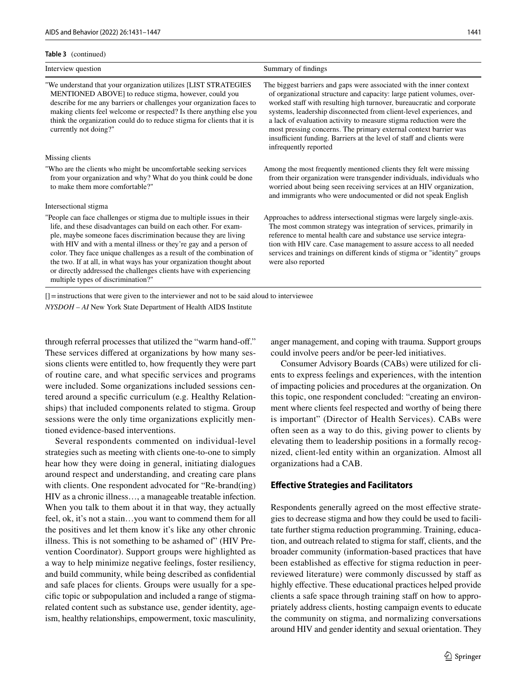#### **Table 3** (continued)

| Interview question                                                                                                                                                                                                                                                                                                                                                                                                                                                                                                                             | Summary of findings                                                                                                                                                                                                                                                                                                                                                                                                                                                                                                                        |
|------------------------------------------------------------------------------------------------------------------------------------------------------------------------------------------------------------------------------------------------------------------------------------------------------------------------------------------------------------------------------------------------------------------------------------------------------------------------------------------------------------------------------------------------|--------------------------------------------------------------------------------------------------------------------------------------------------------------------------------------------------------------------------------------------------------------------------------------------------------------------------------------------------------------------------------------------------------------------------------------------------------------------------------------------------------------------------------------------|
| "We understand that your organization utilizes [LIST STRATEGIES<br>MENTIONED ABOVE] to reduce stigma, however, could you<br>describe for me any barriers or challenges your organization faces to<br>making clients feel welcome or respected? Is there anything else you<br>think the organization could do to reduce stigma for clients that it is<br>currently not doing?"                                                                                                                                                                  | The biggest barriers and gaps were associated with the inner context<br>of organizational structure and capacity: large patient volumes, over-<br>worked staff with resulting high turnover, bureaucratic and corporate<br>systems, leadership disconnected from client-level experiences, and<br>a lack of evaluation activity to measure stigma reduction were the<br>most pressing concerns. The primary external context barrier was<br>insufficient funding. Barriers at the level of staff and clients were<br>infrequently reported |
| Missing clients                                                                                                                                                                                                                                                                                                                                                                                                                                                                                                                                |                                                                                                                                                                                                                                                                                                                                                                                                                                                                                                                                            |
| "Who are the clients who might be uncomfortable seeking services"<br>from your organization and why? What do you think could be done<br>to make them more comfortable?"                                                                                                                                                                                                                                                                                                                                                                        | Among the most frequently mentioned clients they felt were missing<br>from their organization were transgender individuals, individuals who<br>worried about being seen receiving services at an HIV organization,<br>and immigrants who were undocumented or did not speak English                                                                                                                                                                                                                                                        |
| Intersectional stigma                                                                                                                                                                                                                                                                                                                                                                                                                                                                                                                          |                                                                                                                                                                                                                                                                                                                                                                                                                                                                                                                                            |
| "People can face challenges or stigma due to multiple issues in their<br>life, and these disadvantages can build on each other. For exam-<br>ple, maybe someone faces discrimination because they are living<br>with HIV and with a mental illness or they're gay and a person of<br>color. They face unique challenges as a result of the combination of<br>the two. If at all, in what ways has your organization thought about<br>or directly addressed the challenges clients have with experiencing<br>multiple types of discrimination?" | Approaches to address intersectional stigmas were largely single-axis.<br>The most common strategy was integration of services, primarily in<br>reference to mental health care and substance use service integra-<br>tion with HIV care. Case management to assure access to all needed<br>services and trainings on different kinds of stigma or "identity" groups<br>were also reported                                                                                                                                                 |

[]=instructions that were given to the interviewer and not to be said aloud to interviewee *NYSDOH – AI* New York State Department of Health AIDS Institute

through referral processes that utilized the "warm hand-of." These services difered at organizations by how many sessions clients were entitled to, how frequently they were part of routine care, and what specifc services and programs were included. Some organizations included sessions centered around a specifc curriculum (e.g. Healthy Relationships) that included components related to stigma. Group sessions were the only time organizations explicitly mentioned evidence-based interventions.

Several respondents commented on individual-level strategies such as meeting with clients one-to-one to simply hear how they were doing in general, initiating dialogues around respect and understanding, and creating care plans with clients. One respondent advocated for "Re-brand(ing) HIV as a chronic illness…, a manageable treatable infection. When you talk to them about it in that way, they actually feel, ok, it's not a stain…you want to commend them for all the positives and let them know it's like any other chronic illness. This is not something to be ashamed of" (HIV Prevention Coordinator). Support groups were highlighted as a way to help minimize negative feelings, foster resiliency, and build community, while being described as confdential and safe places for clients. Groups were usually for a specifc topic or subpopulation and included a range of stigmarelated content such as substance use, gender identity, ageism, healthy relationships, empowerment, toxic masculinity,

anger management, and coping with trauma. Support groups could involve peers and/or be peer-led initiatives.

Consumer Advisory Boards (CABs) were utilized for clients to express feelings and experiences, with the intention of impacting policies and procedures at the organization. On this topic, one respondent concluded: "creating an environment where clients feel respected and worthy of being there is important" (Director of Health Services). CABs were often seen as a way to do this, giving power to clients by elevating them to leadership positions in a formally recognized, client-led entity within an organization. Almost all organizations had a CAB.

#### **Efective Strategies and Facilitators**

Respondents generally agreed on the most effective strategies to decrease stigma and how they could be used to facilitate further stigma reduction programming. Training, education, and outreach related to stigma for staff, clients, and the broader community (information-based practices that have been established as efective for stigma reduction in peerreviewed literature) were commonly discussed by staff as highly effective. These educational practices helped provide clients a safe space through training staff on how to appropriately address clients, hosting campaign events to educate the community on stigma, and normalizing conversations around HIV and gender identity and sexual orientation. They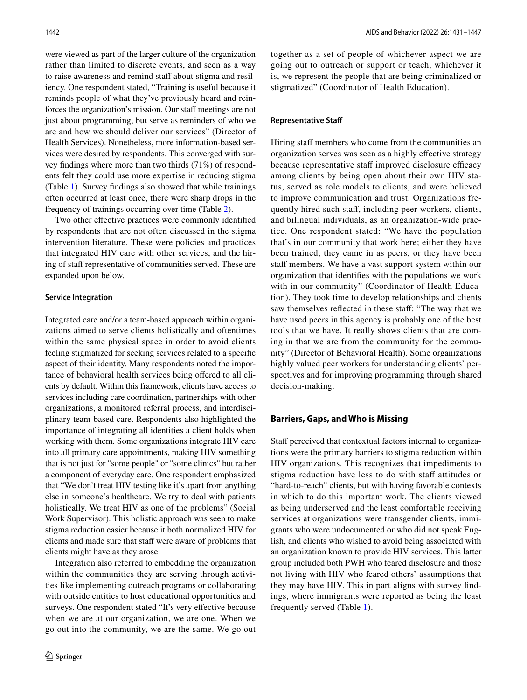were viewed as part of the larger culture of the organization rather than limited to discrete events, and seen as a way to raise awareness and remind staff about stigma and resiliency. One respondent stated, "Training is useful because it reminds people of what they've previously heard and reinforces the organization's mission. Our staff meetings are not just about programming, but serve as reminders of who we are and how we should deliver our services" (Director of Health Services). Nonetheless, more information-based services were desired by respondents. This converged with survey fndings where more than two thirds (71%) of respondents felt they could use more expertise in reducing stigma (Table [1\)](#page-4-0). Survey fndings also showed that while trainings often occurred at least once, there were sharp drops in the frequency of trainings occurring over time (Table [2\)](#page-6-0).

Two other effective practices were commonly identified by respondents that are not often discussed in the stigma intervention literature. These were policies and practices that integrated HIV care with other services, and the hiring of staff representative of communities served. These are expanded upon below.

#### **Service Integration**

Integrated care and/or a team-based approach within organizations aimed to serve clients holistically and oftentimes within the same physical space in order to avoid clients feeling stigmatized for seeking services related to a specifc aspect of their identity. Many respondents noted the importance of behavioral health services being ofered to all clients by default. Within this framework, clients have access to services including care coordination, partnerships with other organizations, a monitored referral process, and interdisciplinary team-based care. Respondents also highlighted the importance of integrating all identities a client holds when working with them. Some organizations integrate HIV care into all primary care appointments, making HIV something that is not just for "some people" or "some clinics" but rather a component of everyday care. One respondent emphasized that "We don't treat HIV testing like it's apart from anything else in someone's healthcare. We try to deal with patients holistically. We treat HIV as one of the problems" (Social Work Supervisor). This holistic approach was seen to make stigma reduction easier because it both normalized HIV for clients and made sure that staff were aware of problems that clients might have as they arose.

Integration also referred to embedding the organization within the communities they are serving through activities like implementing outreach programs or collaborating with outside entities to host educational opportunities and surveys. One respondent stated "It's very effective because when we are at our organization, we are one. When we go out into the community, we are the same. We go out together as a set of people of whichever aspect we are going out to outreach or support or teach, whichever it is, we represent the people that are being criminalized or stigmatized" (Coordinator of Health Education).

#### **Representative Staf**

Hiring staff members who come from the communities an organization serves was seen as a highly efective strategy because representative staff improved disclosure efficacy among clients by being open about their own HIV status, served as role models to clients, and were believed to improve communication and trust. Organizations frequently hired such staf, including peer workers, clients, and bilingual individuals, as an organization-wide practice. One respondent stated: "We have the population that's in our community that work here; either they have been trained, they came in as peers, or they have been staff members. We have a vast support system within our organization that identifes with the populations we work with in our community" (Coordinator of Health Education). They took time to develop relationships and clients saw themselves reflected in these staff: "The way that we have used peers in this agency is probably one of the best tools that we have. It really shows clients that are coming in that we are from the community for the community" (Director of Behavioral Health). Some organizations highly valued peer workers for understanding clients' perspectives and for improving programming through shared decision-making.

### **Barriers, Gaps, and Who is Missing**

Staff perceived that contextual factors internal to organizations were the primary barriers to stigma reduction within HIV organizations. This recognizes that impediments to stigma reduction have less to do with staff attitudes or "hard-to-reach" clients, but with having favorable contexts in which to do this important work. The clients viewed as being underserved and the least comfortable receiving services at organizations were transgender clients, immigrants who were undocumented or who did not speak English, and clients who wished to avoid being associated with an organization known to provide HIV services. This latter group included both PWH who feared disclosure and those not living with HIV who feared others' assumptions that they may have HIV. This in part aligns with survey fndings, where immigrants were reported as being the least frequently served (Table [1\)](#page-4-0).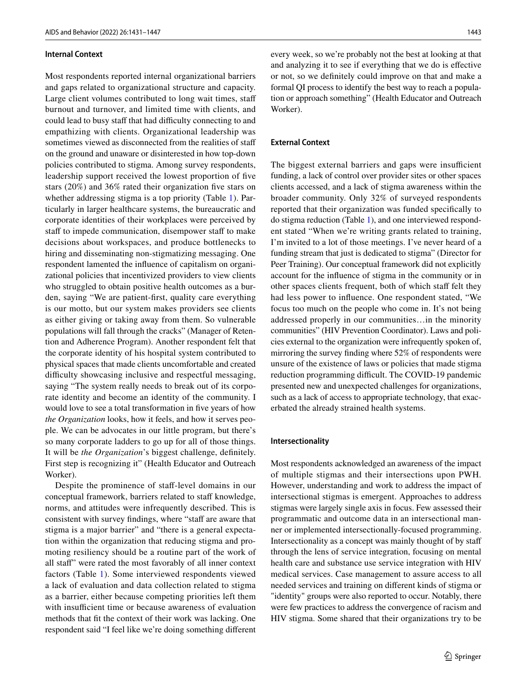### **Internal Context**

Most respondents reported internal organizational barriers and gaps related to organizational structure and capacity. Large client volumes contributed to long wait times, staf burnout and turnover, and limited time with clients, and could lead to busy staff that had difficulty connecting to and empathizing with clients. Organizational leadership was sometimes viewed as disconnected from the realities of staf on the ground and unaware or disinterested in how top-down policies contributed to stigma. Among survey respondents, leadership support received the lowest proportion of fve stars (20%) and 36% rated their organization fve stars on whether addressing stigma is a top priority (Table [1\)](#page-4-0). Particularly in larger healthcare systems, the bureaucratic and corporate identities of their workplaces were perceived by staff to impede communication, disempower staff to make decisions about workspaces, and produce bottlenecks to hiring and disseminating non-stigmatizing messaging. One respondent lamented the infuence of capitalism on organizational policies that incentivized providers to view clients who struggled to obtain positive health outcomes as a burden, saying "We are patient-frst, quality care everything is our motto, but our system makes providers see clients as either giving or taking away from them. So vulnerable populations will fall through the cracks" (Manager of Retention and Adherence Program). Another respondent felt that the corporate identity of his hospital system contributed to physical spaces that made clients uncomfortable and created difficulty showcasing inclusive and respectful messaging, saying "The system really needs to break out of its corporate identity and become an identity of the community. I would love to see a total transformation in five years of how *the Organization* looks, how it feels, and how it serves people. We can be advocates in our little program, but there's so many corporate ladders to go up for all of those things. It will be *the Organization*'s biggest challenge, defnitely. First step is recognizing it" (Health Educator and Outreach Worker).

Despite the prominence of staf-level domains in our conceptual framework, barriers related to staff knowledge, norms, and attitudes were infrequently described. This is consistent with survey findings, where "staff are aware that stigma is a major barrier" and "there is a general expectation within the organization that reducing stigma and promoting resiliency should be a routine part of the work of all staf" were rated the most favorably of all inner context factors (Table [1\)](#page-4-0). Some interviewed respondents viewed a lack of evaluation and data collection related to stigma as a barrier, either because competing priorities left them with insufficient time or because awareness of evaluation methods that ft the context of their work was lacking. One respondent said "I feel like we're doing something diferent every week, so we're probably not the best at looking at that and analyzing it to see if everything that we do is efective or not, so we defnitely could improve on that and make a formal QI process to identify the best way to reach a population or approach something" (Health Educator and Outreach Worker).

## **External Context**

The biggest external barriers and gaps were insufficient funding, a lack of control over provider sites or other spaces clients accessed, and a lack of stigma awareness within the broader community. Only 32% of surveyed respondents reported that their organization was funded specifcally to do stigma reduction (Table [1](#page-4-0)), and one interviewed respondent stated "When we're writing grants related to training, I'm invited to a lot of those meetings. I've never heard of a funding stream that just is dedicated to stigma" (Director for Peer Training). Our conceptual framework did not explicitly account for the infuence of stigma in the community or in other spaces clients frequent, both of which staff felt they had less power to infuence. One respondent stated, "We focus too much on the people who come in. It's not being addressed properly in our communities…in the minority communities" (HIV Prevention Coordinator). Laws and policies external to the organization were infrequently spoken of, mirroring the survey fnding where 52% of respondents were unsure of the existence of laws or policies that made stigma reduction programming difficult. The COVID-19 pandemic presented new and unexpected challenges for organizations, such as a lack of access to appropriate technology, that exacerbated the already strained health systems.

#### **Intersectionality**

Most respondents acknowledged an awareness of the impact of multiple stigmas and their intersections upon PWH. However, understanding and work to address the impact of intersectional stigmas is emergent. Approaches to address stigmas were largely single axis in focus. Few assessed their programmatic and outcome data in an intersectional manner or implemented intersectionally-focused programming. Intersectionality as a concept was mainly thought of by staf through the lens of service integration, focusing on mental health care and substance use service integration with HIV medical services. Case management to assure access to all needed services and training on diferent kinds of stigma or "identity" groups were also reported to occur. Notably, there were few practices to address the convergence of racism and HIV stigma. Some shared that their organizations try to be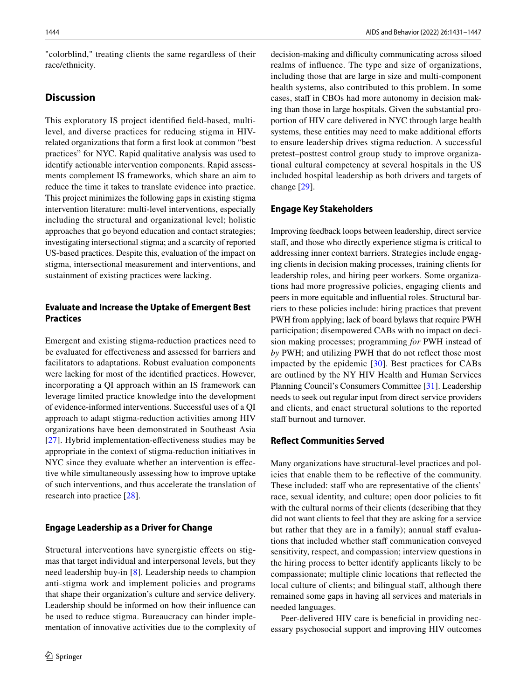"colorblind," treating clients the same regardless of their race/ethnicity.

# **Discussion**

This exploratory IS project identifed feld-based, multilevel, and diverse practices for reducing stigma in HIVrelated organizations that form a frst look at common "best practices" for NYC. Rapid qualitative analysis was used to identify actionable intervention components. Rapid assessments complement IS frameworks, which share an aim to reduce the time it takes to translate evidence into practice. This project minimizes the following gaps in existing stigma intervention literature: multi-level interventions, especially including the structural and organizational level; holistic approaches that go beyond education and contact strategies; investigating intersectional stigma; and a scarcity of reported US-based practices. Despite this, evaluation of the impact on stigma, intersectional measurement and interventions, and sustainment of existing practices were lacking.

# **Evaluate and Increase the Uptake of Emergent Best Practices**

Emergent and existing stigma-reduction practices need to be evaluated for efectiveness and assessed for barriers and facilitators to adaptations. Robust evaluation components were lacking for most of the identifed practices. However, incorporating a QI approach within an IS framework can leverage limited practice knowledge into the development of evidence-informed interventions. Successful uses of a QI approach to adapt stigma-reduction activities among HIV organizations have been demonstrated in Southeast Asia [\[27\]](#page-16-14). Hybrid implementation-effectiveness studies may be appropriate in the context of stigma-reduction initiatives in NYC since they evaluate whether an intervention is efective while simultaneously assessing how to improve uptake of such interventions, and thus accelerate the translation of research into practice [[28](#page-16-15)].

# **Engage Leadership as a Driver for Change**

Structural interventions have synergistic efects on stigmas that target individual and interpersonal levels, but they need leadership buy-in [[8\]](#page-15-7). Leadership needs to champion anti-stigma work and implement policies and programs that shape their organization's culture and service delivery. Leadership should be informed on how their infuence can be used to reduce stigma. Bureaucracy can hinder implementation of innovative activities due to the complexity of decision-making and difficulty communicating across siloed realms of infuence. The type and size of organizations, including those that are large in size and multi-component health systems, also contributed to this problem. In some cases, staff in CBOs had more autonomy in decision making than those in large hospitals. Given the substantial proportion of HIV care delivered in NYC through large health systems, these entities may need to make additional efforts to ensure leadership drives stigma reduction. A successful pretest–posttest control group study to improve organizational cultural competency at several hospitals in the US included hospital leadership as both drivers and targets of change [\[29](#page-16-16)].

# **Engage Key Stakeholders**

Improving feedback loops between leadership, direct service staff, and those who directly experience stigma is critical to addressing inner context barriers. Strategies include engaging clients in decision making processes, training clients for leadership roles, and hiring peer workers. Some organizations had more progressive policies, engaging clients and peers in more equitable and infuential roles. Structural barriers to these policies include: hiring practices that prevent PWH from applying; lack of board bylaws that require PWH participation; disempowered CABs with no impact on decision making processes; programming *for* PWH instead of *by* PWH; and utilizing PWH that do not refect those most impacted by the epidemic [[30\]](#page-16-17). Best practices for CABs are outlined by the NY HIV Health and Human Services Planning Council's Consumers Committee [[31\]](#page-16-18). Leadership needs to seek out regular input from direct service providers and clients, and enact structural solutions to the reported staff burnout and turnover.

# **Refect Communities Served**

Many organizations have structural-level practices and policies that enable them to be refective of the community. These included: staff who are representative of the clients' race, sexual identity, and culture; open door policies to ft with the cultural norms of their clients (describing that they did not want clients to feel that they are asking for a service but rather that they are in a family); annual staff evaluations that included whether staff communication conveyed sensitivity, respect, and compassion; interview questions in the hiring process to better identify applicants likely to be compassionate; multiple clinic locations that refected the local culture of clients; and bilingual staff, although there remained some gaps in having all services and materials in needed languages.

Peer-delivered HIV care is beneficial in providing necessary psychosocial support and improving HIV outcomes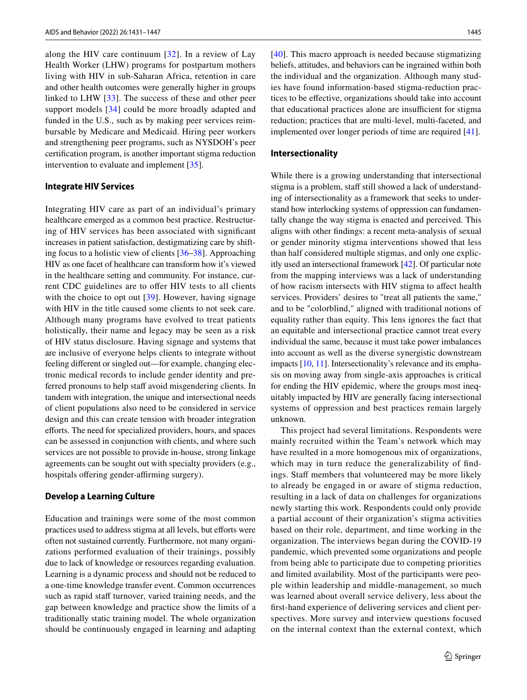along the HIV care continuum [[32](#page-16-19)]. In a review of Lay Health Worker (LHW) programs for postpartum mothers living with HIV in sub-Saharan Africa, retention in care and other health outcomes were generally higher in groups linked to LHW [[33\]](#page-16-20). The success of these and other peer support models [[34](#page-16-21)] could be more broadly adapted and funded in the U.S., such as by making peer services reimbursable by Medicare and Medicaid. Hiring peer workers and strengthening peer programs, such as NYSDOH's peer certifcation program, is another important stigma reduction intervention to evaluate and implement [\[35](#page-16-22)].

#### **Integrate HIV Services**

Integrating HIV care as part of an individual's primary healthcare emerged as a common best practice. Restructuring of HIV services has been associated with signifcant increases in patient satisfaction, destigmatizing care by shifting focus to a holistic view of clients [\[36](#page-16-23)[–38\]](#page-16-24). Approaching HIV as one facet of healthcare can transform how it's viewed in the healthcare setting and community. For instance, current CDC guidelines are to offer HIV tests to all clients with the choice to opt out [\[39\]](#page-16-25). However, having signage with HIV in the title caused some clients to not seek care. Although many programs have evolved to treat patients holistically, their name and legacy may be seen as a risk of HIV status disclosure. Having signage and systems that are inclusive of everyone helps clients to integrate without feeling diferent or singled out—for example, changing electronic medical records to include gender identity and preferred pronouns to help staff avoid misgendering clients. In tandem with integration, the unique and intersectional needs of client populations also need to be considered in service design and this can create tension with broader integration eforts. The need for specialized providers, hours, and spaces can be assessed in conjunction with clients, and where such services are not possible to provide in-house, strong linkage agreements can be sought out with specialty providers (e.g., hospitals offering gender-affirming surgery).

### **Develop a Learning Culture**

Education and trainings were some of the most common practices used to address stigma at all levels, but efforts were often not sustained currently. Furthermore, not many organizations performed evaluation of their trainings, possibly due to lack of knowledge or resources regarding evaluation. Learning is a dynamic process and should not be reduced to a one-time knowledge transfer event. Common occurrences such as rapid staff turnover, varied training needs, and the gap between knowledge and practice show the limits of a traditionally static training model. The whole organization should be continuously engaged in learning and adapting [[40\]](#page-16-26). This macro approach is needed because stigmatizing beliefs, attitudes, and behaviors can be ingrained within both the individual and the organization. Although many studies have found information-based stigma-reduction practices to be efective, organizations should take into account that educational practices alone are insufficient for stigma reduction; practices that are multi-level, multi-faceted, and implemented over longer periods of time are required [\[41](#page-16-27)].

### **Intersectionality**

While there is a growing understanding that intersectional stigma is a problem, staff still showed a lack of understanding of intersectionality as a framework that seeks to understand how interlocking systems of oppression can fundamentally change the way stigma is enacted and perceived. This aligns with other fndings: a recent meta-analysis of sexual or gender minority stigma interventions showed that less than half considered multiple stigmas, and only one explicitly used an intersectional framework [[42\]](#page-16-28). Of particular note from the mapping interviews was a lack of understanding of how racism intersects with HIV stigma to afect health services. Providers' desires to "treat all patients the same," and to be "colorblind," aligned with traditional notions of equality rather than equity. This lens ignores the fact that an equitable and intersectional practice cannot treat every individual the same, because it must take power imbalances into account as well as the diverse synergistic downstream impacts [\[10](#page-15-9), [11\]](#page-15-10). Intersectionality's relevance and its emphasis on moving away from single-axis approaches is critical for ending the HIV epidemic, where the groups most inequitably impacted by HIV are generally facing intersectional systems of oppression and best practices remain largely unknown.

This project had several limitations. Respondents were mainly recruited within the Team's network which may have resulted in a more homogenous mix of organizations, which may in turn reduce the generalizability of findings. Staff members that volunteered may be more likely to already be engaged in or aware of stigma reduction, resulting in a lack of data on challenges for organizations newly starting this work. Respondents could only provide a partial account of their organization's stigma activities based on their role, department, and time working in the organization. The interviews began during the COVID-19 pandemic, which prevented some organizations and people from being able to participate due to competing priorities and limited availability. Most of the participants were people within leadership and middle-management, so much was learned about overall service delivery, less about the frst-hand experience of delivering services and client perspectives. More survey and interview questions focused on the internal context than the external context, which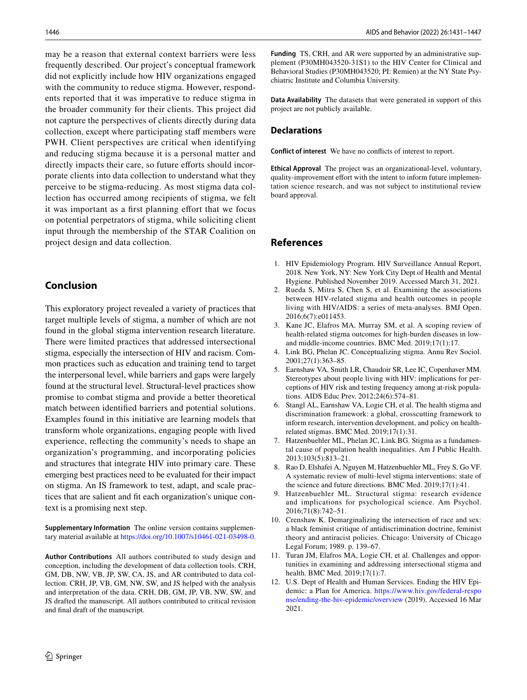may be a reason that external context barriers were less frequently described. Our project's conceptual framework did not explicitly include how HIV organizations engaged with the community to reduce stigma. However, respondents reported that it was imperative to reduce stigma in the broader community for their clients. This project did not capture the perspectives of clients directly during data collection, except where participating staff members were PWH. Client perspectives are critical when identifying and reducing stigma because it is a personal matter and directly impacts their care, so future efforts should incorporate clients into data collection to understand what they perceive to be stigma-reducing. As most stigma data collection has occurred among recipients of stigma, we felt it was important as a first planning effort that we focus on potential perpetrators of stigma, while soliciting client input through the membership of the STAR Coalition on project design and data collection.

# **Conclusion**

This exploratory project revealed a variety of practices that target multiple levels of stigma, a number of which are not found in the global stigma intervention research literature. There were limited practices that addressed intersectional stigma, especially the intersection of HIV and racism. Common practices such as education and training tend to target the interpersonal level, while barriers and gaps were largely found at the structural level. Structural-level practices show promise to combat stigma and provide a better theoretical match between identifed barriers and potential solutions. Examples found in this initiative are learning models that transform whole organizations, engaging people with lived experience, refecting the community's needs to shape an organization's programming, and incorporating policies and structures that integrate HIV into primary care. These emerging best practices need to be evaluated for their impact on stigma. An IS framework to test, adapt, and scale practices that are salient and ft each organization's unique context is a promising next step.

**Supplementary Information** The online version contains supplementary material available at<https://doi.org/10.1007/s10461-021-03498-0>.

**Author Contributions** All authors contributed to study design and conception, including the development of data collection tools. CRH, GM, DB, NW, VB, JP, SW, CA, JS, and AR contributed to data collection. CRH, JP, VB, GM, NW, SW, and JS helped with the analysis and interpretation of the data. CRH, DB, GM, JP, VB, NW, SW, and JS drafted the manuscript. All authors contributed to critical revision and fnal draft of the manuscript.

**Funding** TS, CRH, and AR were supported by an administrative supplement (P30MH043520-31S1) to the HIV Center for Clinical and Behavioral Studies (P30MH043520; PI: Remien) at the NY State Psychiatric Institute and Columbia University.

**Data Availability** The datasets that were generated in support of this project are not publicly available.

#### **Declarations**

**Conflict of interest** We have no conficts of interest to report.

**Ethical Approval** The project was an organizational-level, voluntary, quality-improvement effort with the intent to inform future implementation science research, and was not subject to institutional review board approval.

# **References**

- <span id="page-15-0"></span>1. HIV Epidemiology Program. HIV Surveillance Annual Report, 2018*.* New York, NY: New York City Dept of Health and Mental Hygiene. Published November 2019. Accessed March 31, 2021.
- <span id="page-15-1"></span>2. Rueda S, Mitra S, Chen S, et al. Examining the associations between HIV-related stigma and health outcomes in people living with HIV/AIDS: a series of meta-analyses. BMJ Open. 2016;6(7):e011453.
- <span id="page-15-2"></span>3. Kane JC, Elafros MA, Murray SM, et al. A scoping review of health-related stigma outcomes for high-burden diseases in lowand middle-income countries. BMC Med. 2019;17(1):17.
- <span id="page-15-3"></span>4. Link BG, Phelan JC. Conceptualizing stigma. Annu Rev Sociol. 2001;27(1):363–85.
- <span id="page-15-4"></span>5. Earnshaw VA, Smith LR, Chaudoir SR, Lee IC, Copenhaver MM. Stereotypes about people living with HIV: implications for perceptions of HIV risk and testing frequency among at-risk populations. AIDS Educ Prev. 2012;24(6):574–81.
- <span id="page-15-5"></span>6. Stangl AL, Earnshaw VA, Logie CH, et al. The health stigma and discrimination framework: a global, crosscutting framework to inform research, intervention development, and policy on healthrelated stigmas. BMC Med. 2019;17(1):31.
- <span id="page-15-6"></span>7. Hatzenbuehler ML, Phelan JC, Link BG. Stigma as a fundamental cause of population health inequalities. Am J Public Health. 2013;103(5):813–21.
- <span id="page-15-7"></span>8. Rao D, Elshafei A, Nguyen M, Hatzenbuehler ML, Frey S, Go VF. A systematic review of multi-level stigma interventions: state of the science and future directions. BMC Med. 2019;17(1):41.
- <span id="page-15-8"></span>9. Hatzenbuehler ML. Structural stigma: research evidence and implications for psychological science. Am Psychol. 2016;71(8):742–51.
- <span id="page-15-9"></span>10. Crenshaw K. Demarginalizing the intersection of race and sex: a black feminist critique of antidiscrimination doctrine, feminist theory and antiracist policies. Chicago: University of Chicago Legal Forum; 1989. p. 139–67.
- <span id="page-15-10"></span>11. Turan JM, Elafros MA, Logie CH, et al. Challenges and opportunities in examining and addressing intersectional stigma and health. BMC Med. 2019;17(1):7.
- <span id="page-15-11"></span>12. U.S. Dept of Health and Human Services. Ending the HIV Epidemic: a Plan for America. [https://www.hiv.gov/federal-respo](https://www.hiv.gov/federal-response/ending-the-hiv-epidemic/overview) [nse/ending-the-hiv-epidemic/overview](https://www.hiv.gov/federal-response/ending-the-hiv-epidemic/overview) (2019). Accessed 16 Mar 2021.